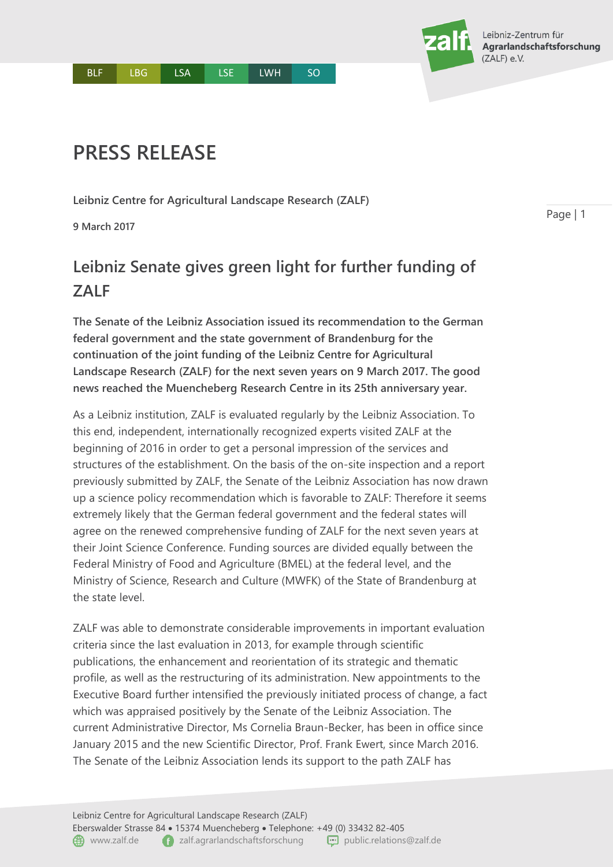## **PRESS RELEASE**

**Leibniz Centre for Agricultural Landscape Research (ZALF)**

**9 March 2017**

## **Leibniz Senate gives green light for further funding of ZALF**

**The Senate of the Leibniz Association issued its recommendation to the German federal government and the state government of Brandenburg for the continuation of the joint funding of the Leibniz Centre for Agricultural Landscape Research (ZALF) for the next seven years on 9 March 2017. The good news reached the Muencheberg Research Centre in its 25th anniversary year.** 

As a Leibniz institution, ZALF is evaluated regularly by the Leibniz Association. To this end, independent, internationally recognized experts visited ZALF at the beginning of 2016 in order to get a personal impression of the services and structures of the establishment. On the basis of the on-site inspection and a report previously submitted by ZALF, the Senate of the Leibniz Association has now drawn up a science policy recommendation which is favorable to ZALF: Therefore it seems extremely likely that the German federal government and the federal states will agree on the renewed comprehensive funding of ZALF for the next seven years at their Joint Science Conference. Funding sources are divided equally between the Federal Ministry of Food and Agriculture (BMEL) at the federal level, and the Ministry of Science, Research and Culture (MWFK) of the State of Brandenburg at the state level.

ZALF was able to demonstrate considerable improvements in important evaluation criteria since the last evaluation in 2013, for example through scientific publications, the enhancement and reorientation of its strategic and thematic profile, as well as the restructuring of its administration. New appointments to the Executive Board further intensified the previously initiated process of change, a fact which was appraised positively by the Senate of the Leibniz Association. The current Administrative Director, Ms Cornelia Braun-Becker, has been in office since January 2015 and the new Scientific Director, Prof. Frank Ewert, since March 2016. The Senate of the Leibniz Association lends its support to the path ZALF has

Page | 1

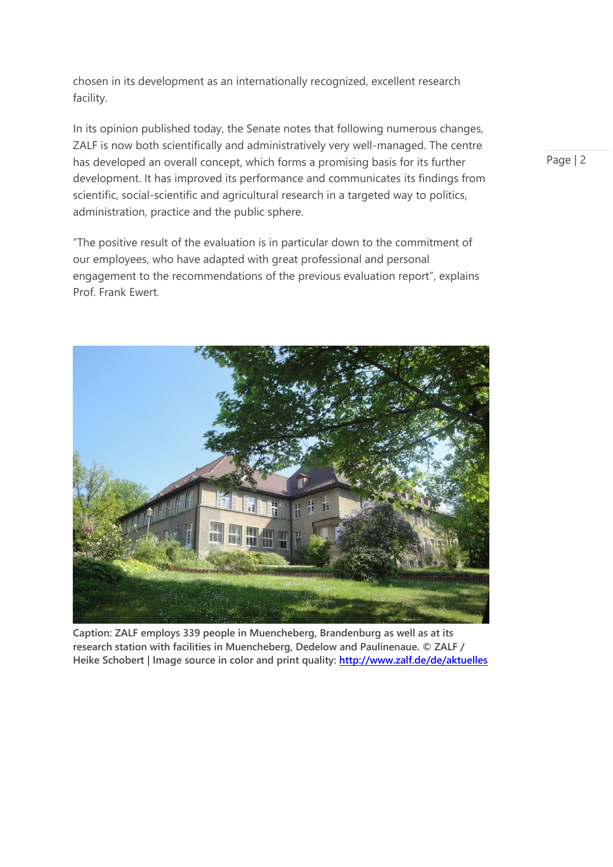chosen in its development as an internationally recognized, excellent research facility.

In its opinion published today, the Senate notes that following numerous changes, ZALF is now both scientifically and administratively very well-managed. The centre has developed an overall concept, which forms a promising basis for its further development. It has improved its performance and communicates its findings from scientific, social-scientific and agricultural research in a targeted way to politics, administration, practice and the public sphere.

"The positive result of the evaluation is in particular down to the commitment of our employees, who have adapted with great professional and personal engagement to the recommendations of the previous evaluation report", explains Prof. Frank Ewert.



**Caption: ZALF employs 339 people in Muencheberg, Brandenburg as well as at its research station with facilities in Muencheberg, Dedelow and Paulinenaue. © ZALF / Heike Schobert | Image source in color and print quality:<http://www.zalf.de/de/aktuelles>**

Page | 2